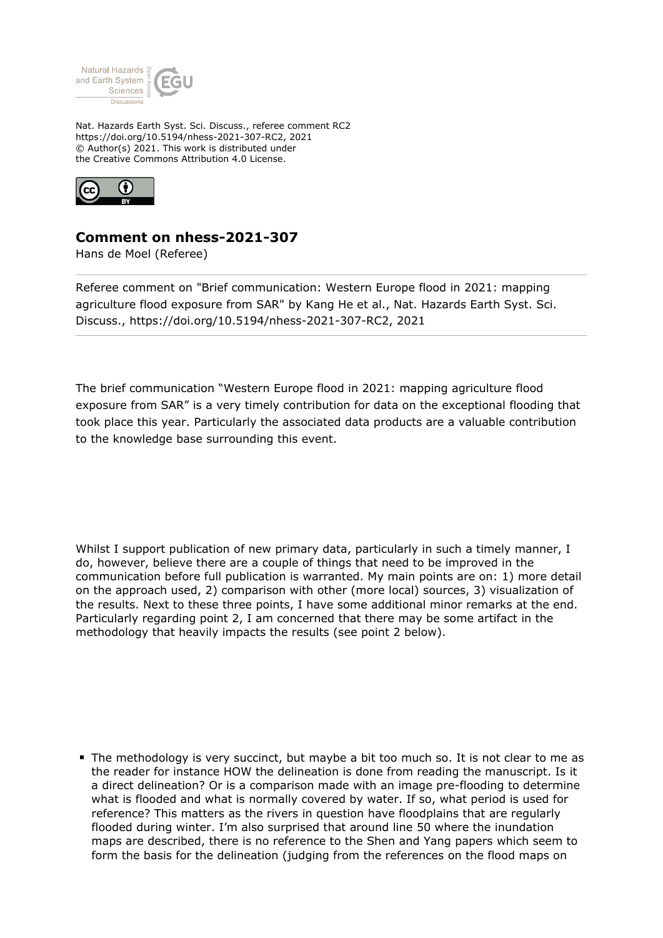

Nat. Hazards Earth Syst. Sci. Discuss., referee comment RC2 https://doi.org/10.5194/nhess-2021-307-RC2, 2021 © Author(s) 2021. This work is distributed under the Creative Commons Attribution 4.0 License.



## **Comment on nhess-2021-307**

Hans de Moel (Referee)

Referee comment on "Brief communication: Western Europe flood in 2021: mapping agriculture flood exposure from SAR" by Kang He et al., Nat. Hazards Earth Syst. Sci. Discuss., https://doi.org/10.5194/nhess-2021-307-RC2, 2021

The brief communication "Western Europe flood in 2021: mapping agriculture flood exposure from SAR" is a very timely contribution for data on the exceptional flooding that took place this year. Particularly the associated data products are a valuable contribution to the knowledge base surrounding this event.

Whilst I support publication of new primary data, particularly in such a timely manner, I do, however, believe there are a couple of things that need to be improved in the communication before full publication is warranted. My main points are on: 1) more detail on the approach used, 2) comparison with other (more local) sources, 3) visualization of the results. Next to these three points, I have some additional minor remarks at the end. Particularly regarding point 2, I am concerned that there may be some artifact in the methodology that heavily impacts the results (see point 2 below).

The methodology is very succinct, but maybe a bit too much so. It is not clear to me as the reader for instance HOW the delineation is done from reading the manuscript. Is it a direct delineation? Or is a comparison made with an image pre-flooding to determine what is flooded and what is normally covered by water. If so, what period is used for reference? This matters as the rivers in question have floodplains that are regularly flooded during winter. I'm also surprised that around line 50 where the inundation maps are described, there is no reference to the Shen and Yang papers which seem to form the basis for the delineation (judging from the references on the flood maps on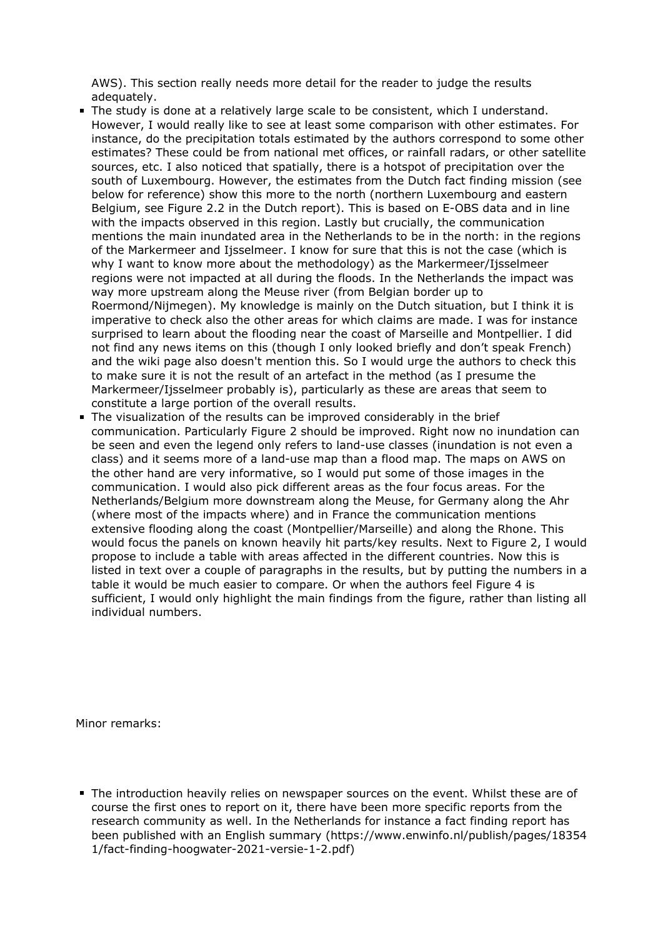AWS). This section really needs more detail for the reader to judge the results adequately.

- The study is done at a relatively large scale to be consistent, which I understand. However, I would really like to see at least some comparison with other estimates. For instance, do the precipitation totals estimated by the authors correspond to some other estimates? These could be from national met offices, or rainfall radars, or other satellite sources, etc. I also noticed that spatially, there is a hotspot of precipitation over the south of Luxembourg. However, the estimates from the Dutch fact finding mission (see below for reference) show this more to the north (northern Luxembourg and eastern Belgium, see Figure 2.2 in the Dutch report). This is based on E-OBS data and in line with the impacts observed in this region. Lastly but crucially, the communication mentions the main inundated area in the Netherlands to be in the north: in the regions of the Markermeer and Ijsselmeer. I know for sure that this is not the case (which is why I want to know more about the methodology) as the Markermeer/Ijsselmeer regions were not impacted at all during the floods. In the Netherlands the impact was way more upstream along the Meuse river (from Belgian border up to Roermond/Nijmegen). My knowledge is mainly on the Dutch situation, but I think it is imperative to check also the other areas for which claims are made. I was for instance surprised to learn about the flooding near the coast of Marseille and Montpellier. I did not find any news items on this (though I only looked briefly and don't speak French) and the wiki page also doesn't mention this. So I would urge the authors to check this to make sure it is not the result of an artefact in the method (as I presume the Markermeer/Ijsselmeer probably is), particularly as these are areas that seem to constitute a large portion of the overall results.
- The visualization of the results can be improved considerably in the brief communication. Particularly Figure 2 should be improved. Right now no inundation can be seen and even the legend only refers to land-use classes (inundation is not even a class) and it seems more of a land-use map than a flood map. The maps on AWS on the other hand are very informative, so I would put some of those images in the communication. I would also pick different areas as the four focus areas. For the Netherlands/Belgium more downstream along the Meuse, for Germany along the Ahr (where most of the impacts where) and in France the communication mentions extensive flooding along the coast (Montpellier/Marseille) and along the Rhone. This would focus the panels on known heavily hit parts/key results. Next to Figure 2, I would propose to include a table with areas affected in the different countries. Now this is listed in text over a couple of paragraphs in the results, but by putting the numbers in a table it would be much easier to compare. Or when the authors feel Figure 4 is sufficient, I would only highlight the main findings from the figure, rather than listing all individual numbers.

Minor remarks:

The introduction heavily relies on newspaper sources on the event. Whilst these are of course the first ones to report on it, there have been more specific reports from the research community as well. In the Netherlands for instance a fact finding report has been published with an English summary (https://www.enwinfo.nl/publish/pages/18354 1/fact-finding-hoogwater-2021-versie-1-2.pdf)